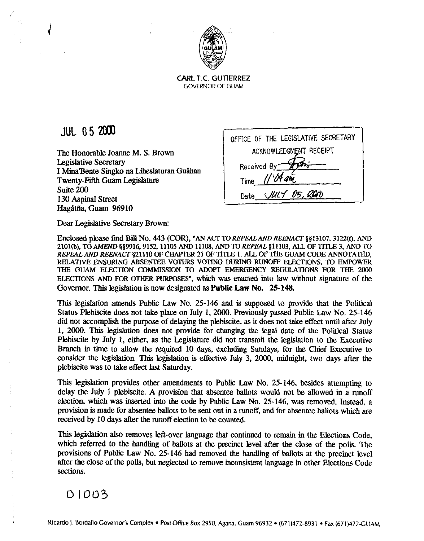

**CARL T.C.** GUTIERREZ GOVERNOR OF GUAM

## **JUL 05 2000**

The Honorable Joanne M. S. Brown Legislative Secretary I Mina'Bente Singko na Liheslaturan Guåhan Twenty-Fifth Guam Legislature Suite **200 130** Aspinal Street Hagiltfia, Guam **96910** 

| OFFICE OF THE LEGISLATIVE SECRETARY |  |  |  |  |  |
|-------------------------------------|--|--|--|--|--|
| ACKNOWLEDGMENT RECEIPT              |  |  |  |  |  |
| Received By                         |  |  |  |  |  |
| $1104$ am<br>Time                   |  |  |  |  |  |
| JULY 05, RON<br>Date                |  |  |  |  |  |

Dear Legislative Secretary Brown:

Enclosed please find Bill No. 443 (COR), "AN ACT TO REPEAL AND REENACT §§13107, 3122(f), AND **2101(b), TO AMEND \$§9916,9152,11105 AND 11108, AND TOREPEAL 611103,** *ALL* **OF TITLE 3, AND TO REPEAL AND REENACT \$21110 OF CHAPTER 21 OF** TlTLE **1, ALL OF THE GUAM CODE ANNOTATED, RELATIVE ENSURING ABSENTEE VOTERS VOTING DURING RUNOFF ELECTIONS, TO EMPOWER** THE GUAM ELECTION COMMISSION TO ADOPT EMERGENCY REGULATIONS FOR THE 2000 **ELECTIONS AND FOR OTHER PURPOSES",** which was enacted into law without signature of the Governor. This legislation is now designated as Public Law No. **25-148.** 

This legislation amends Public Law No. **25-146** and is supposed to provide that the Political Status Plebiscite does not take place on July 1, 2000. Previously passed Public Law No. 25-146 did not accomplish the purpose of delaying the plebiscite, as **it** does not take effect until after July 1, **2000.** This legislation does not provide for changing the legal date of the Political Status Plebiscite by July **1,** either, as the Legislature did not transmit the legislation to the Executive Branch in time to allow the required **10** days, excluding Sundays, for the Chief Executive to consider the legislation. **This** legislation is effective July 3, **2000,** midnight, two days after the plebiscite was to take effect last Saturday.

This legislation provides other amendments to Public Law No. **25-146,** besides attempting to delay the July I plebiscite. A provision that absentee ballots would not be allowed in a runoff election, which was inserted into the code by Public Law No. **25-146,** was removed. Instead. a provision is made for absentee ballots to be sent out in a runoff, and for absentee ballots which are received by **10** days after the runoff election to be counted.

This legislation also removes left-over language that continued to remain in the Elections Code, which referred to the handling of ballots at the precinct level after the close of the polls. The provisions of Public Law No. **25-146** had removed **the** handling of ballots at the precinct level after the close of the polls, but neglected to remove inconsistent language in other Elections Code sections.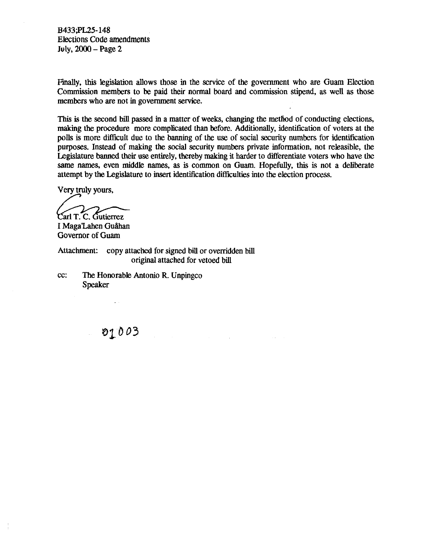**B433;PL25-148**  Elections Code amendments July, **2000** - Page **<sup>2</sup>**

Finally, **this** legislation allows those in the service of the government who are Guam Election Commission members to be paid their normal board and commission stipend, as well as those members who are not in government service.

This is the second bill passed in a matter of weeks, changing the metliod of conducting elections, making the procedure more complicated than before. Additionally, identification of voters at the polls is more difficult due to the banning of the use of social security numbers for identification purposes. Instead of making the social security numbers private information, not releasible, the Legislature banned their use entirely, thereby making it harder to differentiate voters who have the same **names,** even middle names, as is common on Guam. Hopefully, this is not a deliberate attempt by the Legislature to insert identification difficulties into the election process.

Very truly yours, /' Carl T. C. Gutierrez

I Maga'Lahen Guåhan Governor of Guam

Attachment: copy attached for signed bill or overridden bill original attached for vetoed bill

cc: The Honorable Antonio R. Unpingco Speaker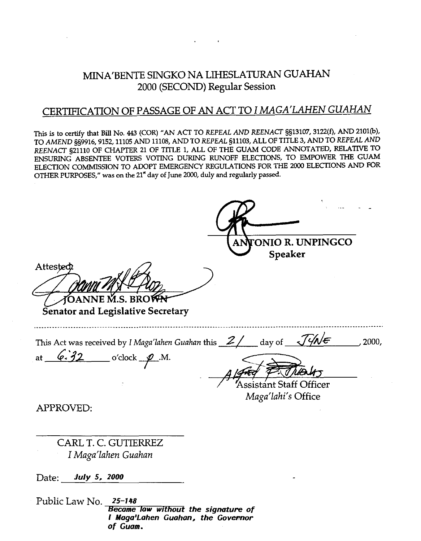#### MINA'BENTE SINGKO NA LIHESLATURAN **GUAHAN**  2000 (SECOND) Regular Session

#### CERTIFICATION OF PASSAGE OF AN ACT TO I *MAGA'LAHEN GUAHAN*

**This** is to **certify** that Bill No. 443 (COR) "AN ACT TO *REPEAL* **AND** *REENACT* **5513107,3122(f),** *AND* **2101@),**  TO **AMEND 559916,9152,11105** AND **11108, AND** TO *REPEAL* **511103,** ALL OF TITLE **3,** AND TO *REPEAL* AND *REENACT* **521110** OF CHAPTER **21** OF TITLE **1,** ALL OF THE GUAM CODE ANNOTATED, **RELATIVE** TO ENSURING ABSENTEE VOTERS VOTING DURING RUNOFF ELECTIONS, TO EMPOWER THE GUAM ELECTION COMMISSION TO ADOPT EMERGENCY REGULATIONS FOR *THE* **2000** ELECTIONS AND FOR OTHER PURPOSES," **was** on **the 21" day** of **June 2000, duly and regularly passed.** 

**A ON10 R. UNPINGCO Speaker**  Attested OANNE M.S. BRO<del>WN</del> **Senator and Legislative Secretary**  This Act was received by *I Maga'lahen Guahan* this <u>2/</u> day of <del>1/ME</del>, 2000, at <u>6.32</u> o'clock <u>p</u>.M. ssistánt Staff Officer *Maga'lahi's* Office APPROVED: CARL T. C. GUTIERREZ I *Maga'lahen Guahan*  Date: **July 5, ZOO0** 

Public Law No. **25-148 Became low without the signature of I Maga'Lahen Guahan, the Govennor** of Guam.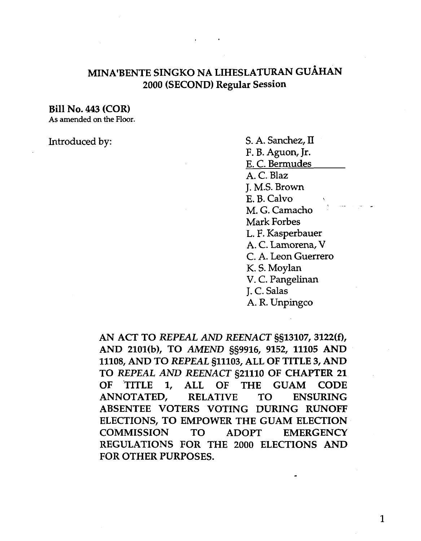### MINA'BENTE SINGKO NA LIHESLATURAN GUÅHAN 2000 (SECOND) Regular Session

Bill No. 443 (COR)

**As amended on the Floor.** 

Introduced by: S. A. Sanchez, II F. B. Aguon, Jr. E. C. Bermudes A. C. Blaz J. M.S. Brown E. B. Calvo M. G. Camacho Mark Forbes L. F. Kasperbauer A. C. Lamorena, V C. A. Leon Guerrero K. S. Moylan V. C. Pangelinan J. C. Salas A. R. Unpingco

> AN ACT TO *REPEAL AND REENACT* §§13107,3122(f), AND 2101(b), TO AMEND §§9916, 9152, 11105 AND 11108, AND TO *REPEAL* §11103, ALL OF TITLE 3, AND TO *REPEAL* AND *REENACT* 521110 OF CHAPTER 21 OF TITLE 1, ALL OF THE GUAM CODE ANNOTATED, RELATIVE TO ENSURING ABSENTEE VOTERS VOTING DURING RUNOFF ELECTIONS, TO EMPOWER THE GUAM ELECTION COMMISSION TO ADOPT EMERGENCY REGULATIONS FOR THE 2000 ELECTIONS AND FOR OTHER PURPOSES.

> > $\mathbf{1}$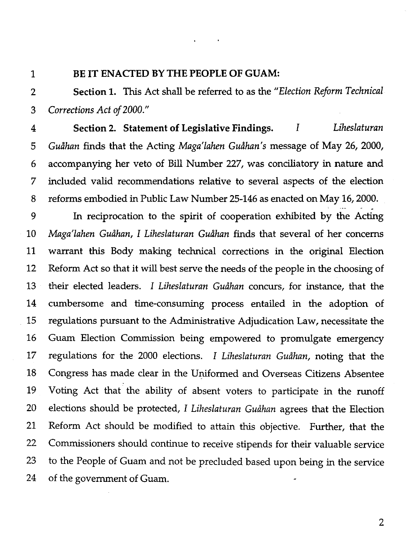$\mathbf{1}$ 

#### BE IT ENACTED BY THE PEOPLE OF GUAM:

Section 1. This Act shall be referred to as the *"Election Reform Technical*   $\overline{2}$ *Corrections Act of 2000."*  3

Section **2.** Statement of Legislative Findings. I *Liheslaturan*   $\overline{4}$ *Gudhan* finds that the Acting *Maga'lahen Gudhan's* message of May 26, 2000, 5 accompanying her veto of Bill Number 227, was conciliatory in nature and 6 7 included valid recommendations relative to several aspects of the election reforms embodied in Public Law Number 25-146 as enacted on May 16, 2000. 8

9 In reciprocation to the spirit of cooperation exhibited by the Acting 10 *Maga'lahen Gudhan, I Liheslaturan Gudhan* finds that several of her concerns 11 warrant this Body making technical corrections in the original Election Reform Act so that it will best serve the needs of the people in the choosing of 12 their elected leaders. I *Liheslaturan Gudhan* concurs, for instance, that the 13 14 cumbersome and time-consuming process entailed in the adoption of 15 regulations pursuant to the Administrative Adjudication Law, necessitate the 16 Guam Election Commission being empowered to promulgate emergency 17 regulations for the 2000 elections. I *Liheslaturan Gudhan,* noting that the Congress has made clear in the Uniformed and Overseas Citizens Absentee 18 Voting Act that the ability of absent voters to participate in the runoff 19 20 elections should be protected, I *Liheslaturan Gudhan* agrees that the Election Reform Act should be modified to attain this objective. Further, that the 21 Commissioners should continue to receive stipends for their valuable service 22 to the People of Guam and not be precluded based upon being in the service 23 24 of the government of Guam.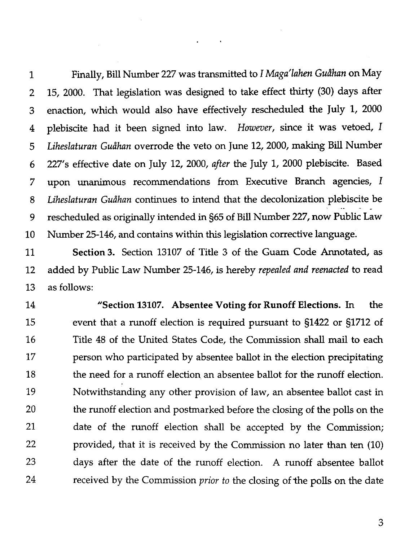Finally, Bill Number 227 was transmitted to I *Maga'lahen Guihan* on May  $\mathbf{1}$ 15, 2000. That legislation was designed to take effect thirty (30) days after  $\overline{2}$ enaction, which would also have effectively rescheduled the July 1, 2000 3 plebiscite had it been signed into law. *However,* since it was vetoed, I 4 *Liheslaturan Guihan* overrode the veto on June 12,2000, making Bill Number 5 227's effective date on July 12, 2000, *after* the July 1, 2000 plebiscite. Based 6 upon unanimous recommendations from Executive Branch agencies, I  $\overline{7}$ 8 *Liheslaturan Guihan* continues to intend that the decolonization plebiscite be .. rescheduled as originally intended in §65 of Bill Number 227, now Public Law 9 Number 25-146, and contains within this legislation corrective language. 10

 $\sim 100$ 

Section **3.** Section 13107 of Title 3 of the Guam Code Annotated, as  $11$ added by Public Law Number 25-146, is hereby *repealed and reenacted* to read 12 13 as follows:

"Section **13107.** Absentee Voting for Runoff Elections. In the 14 event that a runoff election is required pursuant to 51422 or 51712 of 15 16 Title 48 of the United States Code, the Commission shall mail to each 17 person who participated by absentee ballot in the election precipitating 18 the need for a runoff election an absentee ballot for the runoff election. 19 Notwithstanding any other provision of law, an absentee ballot cast in 20 the runoff election and postmarked before the closing of the polls on the 21 date of the runoff election shall be accepted by the Commission; 22 provided, that it is received by the Commission no later than ten (10) 23 days after the date of the runoff election. **A** runoff absentee ballot 24 received by the Commission *prior* to the closing of the polls on the date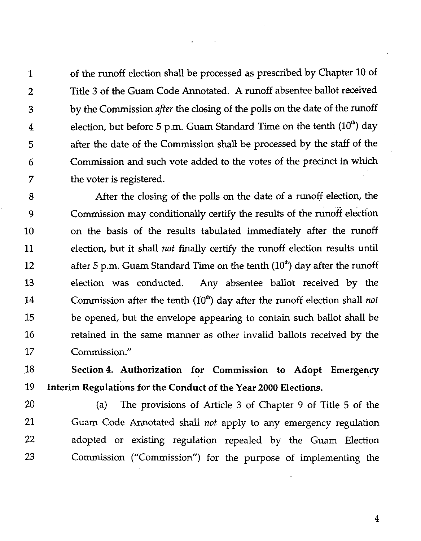1 of the runoff election shall be processed as prescribed by Chapter 10 of **2** Title 3 of the Guam Code Annotated. **A** runoff absentee ballot received **3** by the Commission *after* the closing of the polls on the date of the runoff 4 election, but before 5 p.m. Guam Standard Time on the tenth  $(10<sup>th</sup>)$  day 5 after the date of the Commission shall be processed by the staff of the 6 Commission and such vote added to the votes of the precinct in which 7 the voter is registered.

8 After the closing of the polls on the date of a runoff election, the 9 Commission may conditionally certify the results of the runoff election 10 on the basis of the results tabulated immediately after the runoff 11 election, but it shall *not* finally certify the runoff election results until 12 after 5 p.m. Guam Standard Time on the tenth  $(10<sup>th</sup>)$  day after the runoff 13 election was conducted. Any absentee ballot received by the 14 Commission after the tenth  $(10<sup>th</sup>)$  day after the runoff election shall not 15 be opened, but the envelope appearing to contain such ballot shall be 16 retained in the same manner as other invalid ballots received by the 17 Commission."

18 Section4. Authorization for Commission to Adopt Emergency 19 Interim Regulations for the Conduct of the Year 2000 Elections.

20 (a) The provisions of Article 3 of Chapter 9 of Title 5 of the 21 Guam Code Annotated shall *not* apply to any emergency regulation 22 adopted or existing regulation repealed by the Guam Election 23 Commission ("Commission") for the purpose of implementing the

-

 $\overline{4}$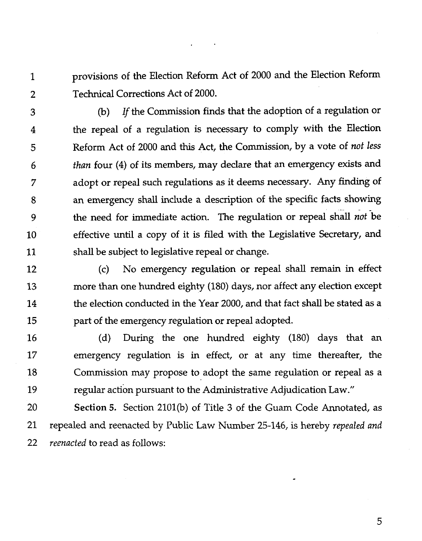provisions of the Election Reform Act of 2000 and the Election Reform  $\mathbf{1}$ Technical Corrections Act of 2000.  $\overline{2}$ 

(b) If the Commission finds that the adoption of a regulation or 3 the repeal of a regulation is necessary to comply with the Election  $\overline{4}$ Reform Act of 2000 and this Act, the Commission, by a vote of not less 5 than four (4) of its members, may declare that an emergency exists and 6 adopt or repeal such regulations as it deems necessary. Any finding of 7 an emergency shall include a description of the specific facts showing 8 the need for immediate action. The regulation or repeal shall not be 9 effective until a copy of it is filed with the Legislative Secretary, and 10 11 shall be subject to legislative repeal or change.

(c) No emergency regulation or repeal shall remain in effect 12 13 more **than** one hundred eighty (180) days, nor affect any election except the election conducted in the Year 2000, and that fact shall be stated as a 14 15 part of the emergency regulation or repeal adopted.

16 (d) During the one hundred eighty (180) days that an 17 emergency regulation is in effect, or at any time thereafter, the 18 Commission may propose to adopt the same regulation or repeal as a 19 regular action pursuant to the Administrative Adjudication Law."

20 **Section** 5. Section 2101(b) of Title **3** of the Guam Code Annotated, as 21 repealed and reenacted by Public Law Number 25-146, is hereby repealed and 22 reenacted to read as follows: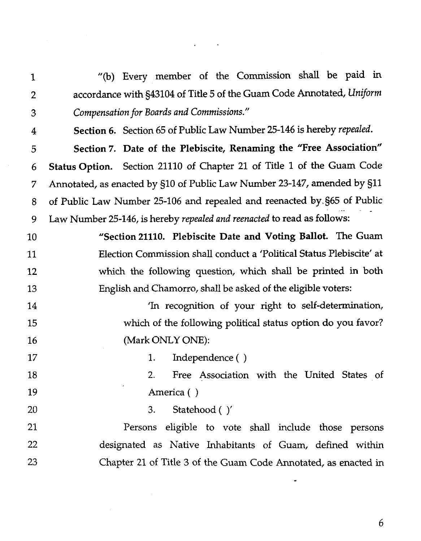"(b) Every member of the Commission shall be paid in  $\mathbf{1}$ accordance with 343104 of Title 5 of the Guam Code Annotated, *Uniform*   $\overline{2}$ *Compensation for Boards and Commissions."*  3 Section *6.* Section 65 of Public Law Number 25-146 is hereby *repealed.*   $\overline{4}$ Section 7. Date of the Plebiscite, Renaming the "Free Association" 5 Status Option. Section 21110 of Chapter 21 of Title 1 of the Guam Code 6 Annotated, as enacted by 510 of Public Law Number 23-147, amended by 511  $\overline{7}$ of Public Law Number 25-106 and repealed and reenacted by.965 of Public 8 - Law Number 25-146, is hereby *repealed and reenacted* to read as follows: 9 "Section 21110. Plebiscite Date and Voting Ballot. The Guam 10 Election Commission shall conduct a 'Political Status Plebiscite' at  $11$ which the following question, which shall be printed in both  $12$ 13 English and Chamorro, shall be asked of the eligible voters: 'In recognition of your right to self-determination, 14 which of the following political status option do you favor? 15 (Mark ONLY ONE): 16 17 1. Independence ( ) 2. Free Association with the United States of 18 19 America ( ) **3.** Statehood ( )' 20 21 Persons eligible to vote shall include those persons 22 designated as Native Inhabitants of Guam, defined within 23 Chapter 21 of Title **3** of the Guam Code Annotated, as enacted in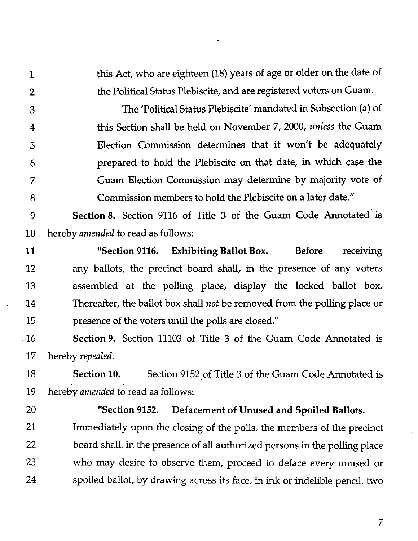this Act, who are eighteen (18) years of age or older on the date of the Political Status Plebiscite, and are registered voters on Guam.

The 'Political Status Plebiscite' mandated in Subsection (a) of 3 this Section shall be held on November 7,2000, *unless* the Guam  $\overline{4}$ Election Commission determines that it won't be adequately 5 prepared to hold the Plebiscite on that date, in which case the 6 Guam Election Commission may determine by majority vote of 7 Commission members to hold the Plebiscite on a later date." 8

Section 8. Section 9116 of Title 3 of the Guam Code Annotated is 9 10 hereby *amended* to read as follows:

11 "Section **9116.** Exhibiting Ballot Box. Before receiving any ballots, the precinct board shall, in the presence of any voters 12 assembled at the polling place, display the locked ballot box. 13 Thereafter, the ballot box shall *not* be removed from the polling place or 14 15 presence of the voters until the polls are closed."

Section **9.** Section 11103 of Title **3** of the Guam Code Annotated is 16 hereby *repealed.*  17

18 Section **10.** Section 9152 of Title **3** of the Guam Code Annotated is 19 hereby *amended* to read as follows:

20

 $\mathbf{1}$ 

 $\overline{2}$ 

#### "Section **9152.** Defacement of Unused and Spoiled Ballots.

21 Immediately upon the closing of the polls, the members of the precinct 22 board shall, in the presence of all authorized persons in the polling place 23 who may desire to observe them, proceed to deface every unused or 24 spoiled ballot, by drawing across its face, in ink or indelible pencil, two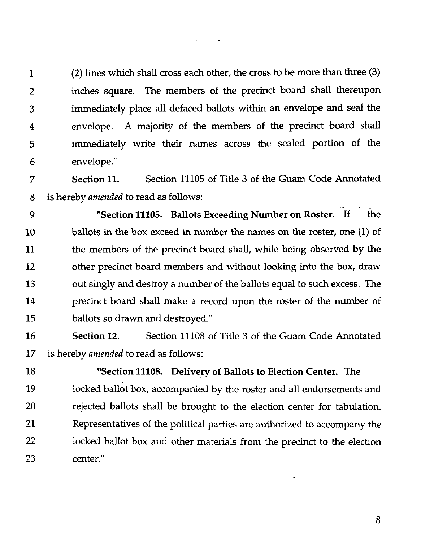1 **(2)** lines which shall cross each other, the cross to be more than three **(3)**  2 inches square. The members of the precinct board shall thereupon **3** immediately place all defaced ballots within an envelope and seal the 4 envelope. **A** majority of the members of the precinct board shall 5 immediately write their names across the sealed portion of the 6 envelope."

7 Section **11.** Section 11105 of Title **3** of the Guam Code Annotated 8 is hereby *amended* to read as follows:<br>9 **Section 11105.** Ballots

"Section 11105. Ballots Exceeding Number on Roster. If the **<sup>10</sup>**ballots in the box exceed in number the names on the roster, one (1) of 11 the members of the precinct board shall, while being observed by the 12 other precinct board members and without looking into the box, draw 13 out singly and destroy a number of the ballots equal to such excess. The 14 precinct board shall make a record upon the roster of the number of 15 ballots so drawn and destroyed."

16 Section **12.** Section 11108 of Title 3 of the Guam Code Annotated 17 is hereby *amended* to read as follows:

18 "Section **11108.** Delivery of Ballots to Election Center. The 19 locked ballot box, accompanied by the roster and all endorsements and 20 rejected ballots shall be brought to the election center for tabulation. 21 Representatives of the political parties are authorized to accompany the 22 locked ballot box and other materials from the precinct to the election 23 center."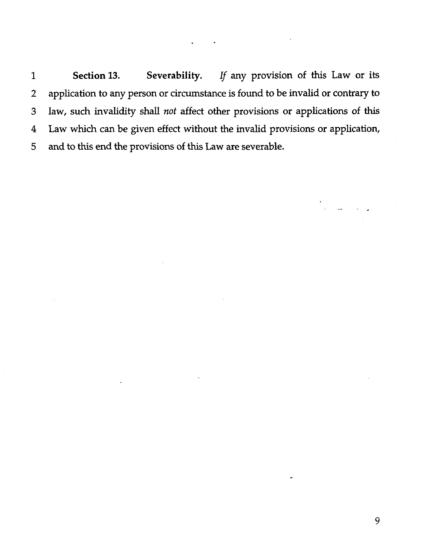**1 Section 13. Severability.** If any provision of this Law or its 2 application to any person or circumstance is found to be invalid or contrary to **3** law, such invalidity shall *not* affect other provisions or applications of **this**  4 Law which can be given effect without the invalid provisions or application, 5 **and** to this end the provisions of this Law are severable.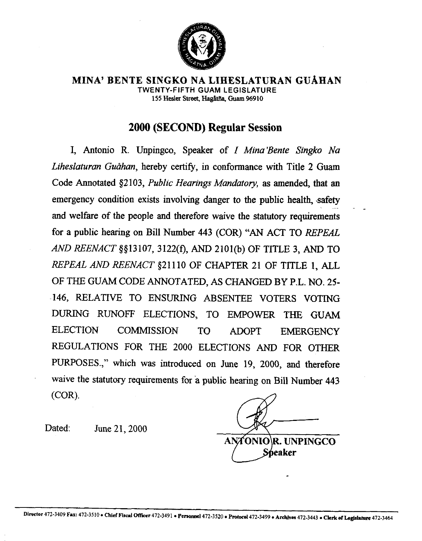

**MINA' BENTE SINGKO NA LIHESLATURAN GUAHAN TWENTY-FIFTH GUAM LEGISLATURE**  155 **Hesler** Street, **HagHtib, Guam %910** 

### **2000 (SECOND) Regular Session**

I, Antonio R. Unpingco, Speaker of I *Mina'Bente Singko Na*  Liheslaturan Guåhan, hereby certify, in conformance with Title 2 Guam Code Annotated \$2103, *Public Hearings Mandatory,* as amended, that an emergency condition exists involving danger to the public health, safety and welfare of the people and therefore waive the statutory requirements for a public hearing on Bill Number 443 (COR) "AN ACT TO REPEAL AND *REENACT* \$913 107,3122(f), AND 2101@) OF TITLE 3, AND TO *REPEAL* AND *REENACT* \$21 110 OF CHAPTER 21 OF TITLE 1, ALL OF THE GUAM CODE ANNOTATED, AS CHANGED BY P.L. NO. **25-**  146, RELATIVE TO ENSURING ABSENTEE VOTERS VOTING DURING RUNOFF ELECTIONS, TO EMPOWER THE GUAM ELECTION COMMISSION TO ADOPT EMERGENCY REGULATIONS FOR THE 2000 ELECTIONS AND FOR OTHER PURPOSES.," which was introduced on June 19, 2000, and therefore waive the statutory requirements for a public hearing on Bill Number 443 (COR).

ANA **.UNPINGCO eaker** 

Dated: June 21, 2000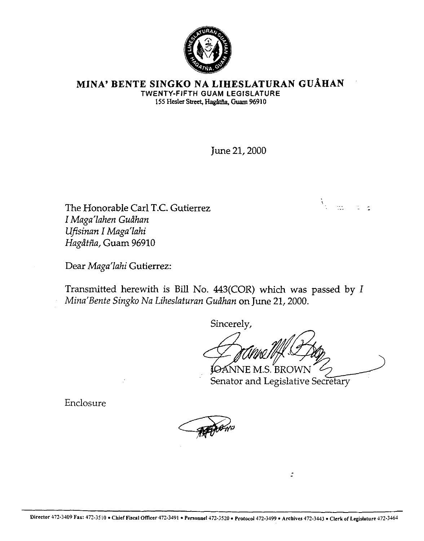

#### **MINA' BENTE SINGKO NA LIHESLATURAN GUAHAN TWENTY-FIFTH GUAM LEGISLATURE**  155 Hesler Street, Hagåtña, Guam 96910

June 21,2000

The Honorable Carl T.C. Gutierrez I *Maga'lahen Gudhan Ufisinan* 1 *Maga'lahi Hagdtfia,* Guam 96910

Dear *Maga'lahi* Gutierrez:

Transmitted herewith is Bill No.  $443(COR)$  which was passed by  $I$ *Mina'Bente Singko Nu Liheslaturan Gudhan* on June 21,2000.

Sincerely,

**IOANNE M.S. BROWN** 

 $\ddot{z}$ 

 $\frac{\lambda}{\lambda}$  and  $\frac{\lambda}{\lambda}$  is the  $\frac{\lambda}{\lambda}$ 

Senator and Legislative Secretary

Enclosure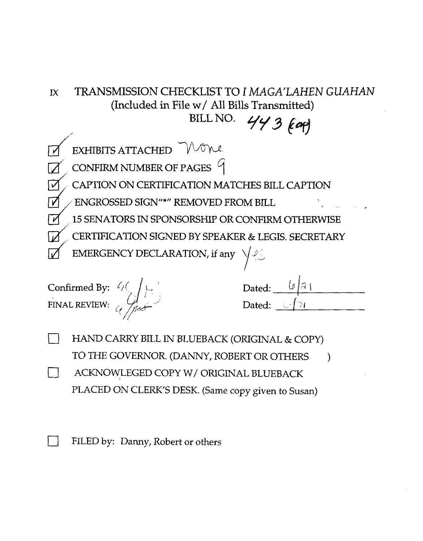# IX TRANSMISSION CHECKLIST TO I MAGA'LAHEN GUAHAN (Included in File w/ All Bills Transmitted) BILL NO.

 $443$  (cor)  $EXHIBITS ATTACHED$ CONFIRM NUMBER OF PAGES  $9$ CAPTION ON CERTIFICATION MATCHES BILL CAPTION ENGROSSED SIGN\*" REMOVED FROM BILL 15 SENATORS IN SPONSORSHIP OR CONFIRM OTHERWISE CERTIFICATION SIGNED BY SPEAKER & LEGIS. SECRETARY EMERGENCY DECLARATION, if any

Confirmed By:  $\ell/\binom{n}{k}$   $\ell$ ,  $\ell$ FINAL REVIEW:  $\left(\begin{array}{ccc} 1 & -1 \\ -1 & -1 \end{array}\right)$  Dated:  $\left(\begin{array}{ccc} 1 & -1 \\ -1 & -1 \end{array}\right)$ 

| Dated: |   | $\mathcal{D}$ |
|--------|---|---------------|
| Dated: | ø |               |

 $\vert \ \ \vert$ HAND CARRY BILL IN BLUEBACK (ORIGINAL & COPY) TO THE GOVERNOR. (DANNY, ROBERT OR OTHERS ) ACKNOWLEGED COPY W/ ORIGINAL BLUEBACK PLACED ON CLERK'S DESK. (Same copy given to Susan)

FILED by: Danny, Robert or others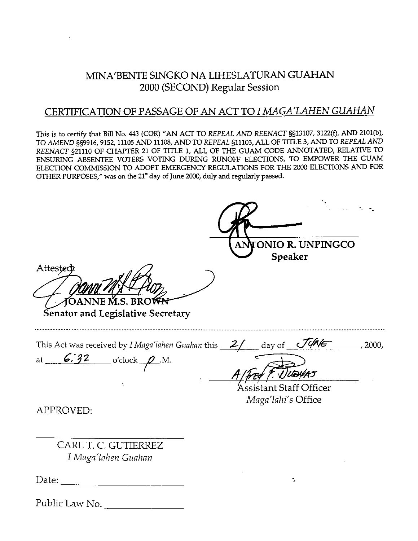#### MINA'BENTE SINGKO NA LIHESLATURAN GUAHAN 2000 (SECOND) **Regular** Session

#### CERTIFICATION OF PASSAGE OF AN ACT TO *I MAGA'LAHEN GUAHAN*

This is to **certify** that **Bill** No. **443** (COR) "AN ACT TO REPEAL AND REENACT **§§13107,3122(f),** AND **2101(b),**  TO AMEND **559916,9152,11105** AND **11108,** AND TO REPEAL **§11103,** ALL OF TITLE **3,** AND TO REPEAL AND REENACT **521110 OF CHAPTER 21 OF TITLE 1, ALL OF THE GUAM CODE ANNOTATED, RELATIVE TO** ENSURING ABSENTEE VOTERS VOTING DURING RUNOFF ELECTIONS, TO EMPOWER THE GUAM ELECTION COMMISSION TO ADOPT EMERGENCY REGULATIONS FOR THE **2000** ELECTIONS AND FOR OTHER PURPOSES," was on the **21\*** day of **June 2000,** duly and **regularly** passed.

THESLATURAN GUAHAN<br>
Regular Session<br>
N ACT TO *I MAGA'LAHEN GUAHAN*<br>
REFEAL AND REENACT \$§13107, 3122(6), AND 2101(b),<br>
DE THE GUAM CODE ANNOTATED, RELATIVE TO<br>
RUNOFF ELECTIONS, TO EMPOWER THE GUAM<br>
RUNOFF ELECTIONS, TO E **Speaker**  Attester **TOANNE M.S. BROWN Senator and Legislative Secretary**  This Act was received by *I Maga'lahen Guahan* this <u>2/</u> day of *JUNE*, 2000, at  $6.32$  o'clock  $\rho$  M.<br>*Alfred F. Juevas* Assistant Staff Officer *Maga'lahi's* Office APPROVED: CARL T. C. GUTIERREZ *I Maga'lnhen Gtlahan*  Date:  $\frac{1}{\sqrt{1-\frac{1}{2}}\sqrt{1-\frac{1}{2}}\sqrt{1-\frac{1}{2}}\sqrt{1-\frac{1}{2}}\sqrt{1-\frac{1}{2}}\sqrt{1-\frac{1}{2}}\sqrt{1-\frac{1}{2}}\sqrt{1-\frac{1}{2}}\sqrt{1-\frac{1}{2}}\sqrt{1-\frac{1}{2}}\sqrt{1-\frac{1}{2}}\sqrt{1-\frac{1}{2}}\sqrt{1-\frac{1}{2}}\sqrt{1-\frac{1}{2}}\sqrt{1-\frac{1}{2}}\sqrt{1-\frac{1}{2}}\sqrt{1-\frac{1}{2}}\sqrt{1-\frac{1}{2}}\sqrt{1-\frac{1}{2}}$ ÷. Public Law No.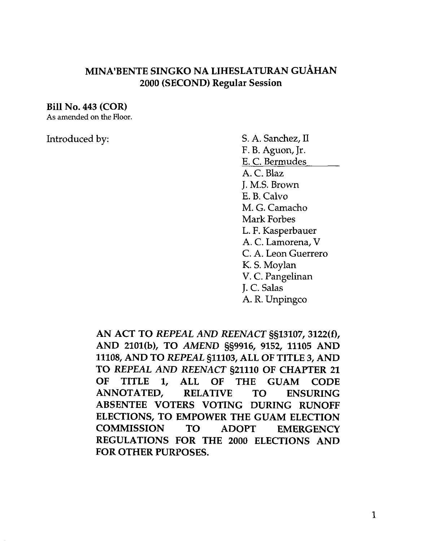### MINA'BENTE SINGKO NA LIHESLATURAN GUÅHAN 2000 (SECOND) Regular Session

#### Bill No. 443 (COR)

**As** amended on the Floor.

Introduced by: S. A. Sanchez, II F. B. Aguon, Jr. E. C. Bermudes A. C. Blaz J. M.S. Brown E. B. Calvo M. G. Camacho Mark Forbes L. F. Kasperbauer A. C. Lamorena, V C. A. Leon Guerrero K. S. Moylan V. C. Pangelinan J. C. Salas A. R. Unpingco

> AN ACT TO *REPEAL* AND *REENACT* §§13107,3122(f), AND 2101(b), TO AMEND \$59916, 9152, 11105 AND 11108, AND TO *REPEAL* §11103, ALL OF TITLE 3, AND TO *REPEAL AND REENACT* §21110 OF CHAPTER 21 OF TITLE 1, ALL OF THE GUAM CODE ANNOTATED, RELATIVE TO ENSURING ABSENTEE VOTERS VOTING DURING RUNOFF ELECTIONS, TO EMPOWER THE GUAM ELECTION COMMISSION TO ADOPT EMERGENCY REGULATIONS FOR THE 2000 ELECTIONS AND FOR OTHER PURPOSES.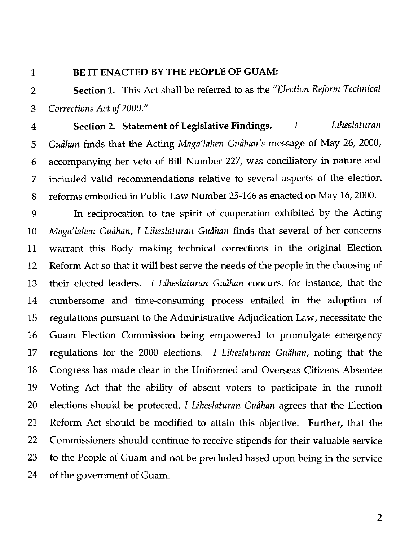$\mathbf{1}$ 

#### **BE IT ENACTED BY THE PEOPLE OF GUAM:**

**Section 1.** This Act shall be referred to as the *"Election Reform Technical*   $\overline{2}$ *Corrections Act* of *2000."*  3

**Section 2. Statement of Legislative Findings. I** *Liheslaturan*   $\overline{\mathbf{4}}$ *Guihan* finds that the Acting *Maga'lahen Guihan's* message of May 26, 2000, 5 accompanying her veto of Bill Number 227, was conciliatory in nature and 6 included valid recommendations relative to several aspects of the election 7 reforms embodied in Public Law Number 25-146 as enacted on May 16,2000. 8

9 In reciprocation to the spirit of cooperation exhibited by the Acting *Maga'lahen Guihan,* I *Liheslaturan Guihan* finds that several of her concerns 10 warrant this Body making technical corrections in the original Election 11 Reform Act so that it will best serve the needs of the people in the choosing of 12 their elected leaders. I *Liheslaturan Guihan* concurs, for instance, that the 13 cumbersome and time-consuming process entailed in the adoption of 14 15 regulations pursuant to the Administrative Adjudication Law, necessitate the 16 Guam Election Commission being empowered to promulgate emergency regulations for the 2000 elections. I *Liheslaturan Guihan,* noting that the 17 18 Congress has made clear in the Uniformed and Overseas Citizens Absentee 19 Voting Act that the ability of absent voters to participate in the runoff 20 elections should be protected, I *Liheslaturan Guihan* agrees that the Election 21 Reform Act should be modified to attain this objective. Further, that the 22 Commissioners should continue to receive stipends for their valuable service 23 to the People of Guam and not be precluded based upon being in the service 24 of the government of Guam.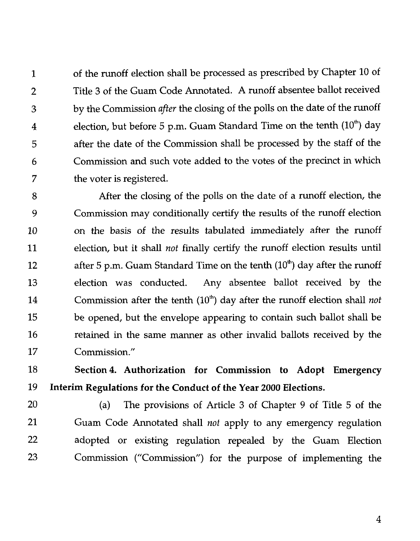1 of the runoff election shall be processed as prescribed by Chapter 10 of 2 Title 3 of the Guam Code Annotated. A runoff absentee ballot received 3 by the Commission *after* the closing of the polls on the date of the runoff 4 election, but before 5 p.m. Guam Standard Time on the tenth  $(10<sup>th</sup>)$  day 5 after the date of the Commission shall be processed by the staff of the 6 Commission and such vote added to the votes of the precinct in which 7 the voter is registered.

8 After the closing of the polls on the date of a runoff election, the 9 Commission may conditionally certify the results of the runoff election 10 on the basis of the results tabulated immediately after the runoff 11 election, but it shall *not* finally certlfy the runoff election results until 12 after 5 p.m. Guam Standard Time on the tenth  $(10<sup>th</sup>)$  day after the runoff 13 election was conducted. Any absentee ballot received by the 14 Commission after the tenth (10") day after the runoff election shall *not*  15 be opened, but the envelope appearing to contain such ballot shall be 16 retained in the same manner as other invalid ballots received by the 17 Commission."

18 **Section4 Authorization for Commission to Adopt Emergency**  19 **Interim Regulations for the Conduct of the Year 2000 Elections.** 

20 (a) The provisions of Article 3 of Chapter 9 of Title 5 of the 21 Guam Code Annotated shall *not* apply to any emergency regulation 22 adopted or existing regulation repealed by the Guam Election 23 Commission ("Commission") for the purpose of implementing the

 $\overline{4}$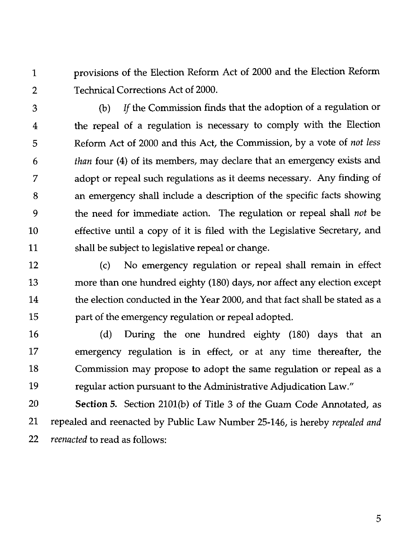provisions of the Election Reform Act of 2000 and the Election Reform  $\mathbf 1$  $\overline{2}$ Technical Corrections Act of 2000.

(b) *If* the Commission finds that the adoption of a regulation or 3 the repeal of a regulation is necessary to comply with the Election 4 Reform Act of 2000 and this Act, the Commission, by a vote of *not less*  5 *than* four (4) of its members, may declare that an emergency exists and 6 adopt or repeal such regulations as it deems necessary. Any finding of  $\overline{7}$ an emergency shall include a description of the specific facts showing 8 the need for immediate action. The regulation or repeal shall *not* be 9 effective until a copy of it is filed with the Legislative Secretary, and 10 shall be subject to legislative repeal or change. 11

(c) No emergency regulation or repeal shall remain in effect 12 13 more than one hundred eighty (180) days, nor affect any election except the election conducted in the Year 2000, and that fact shall be stated as a 14 15 part of the emergency regulation or repeal adopted.

16 (d) During the one hundred eighty (180) days that an 17 emergency regulation is in effect, or at any time thereafter, the 18 Commission may propose to adopt the same regulation or repeal as a 19 regular action pursuant to the Administrative Adjudication Law."

**Section** 5. Section 2101(b) of Title *3* of the Guam Code Annotated, as 20 21 repealed and reenacted by Public Law Number 25-146, is hereby *repealed and*  22 *reenacted* to read as follows: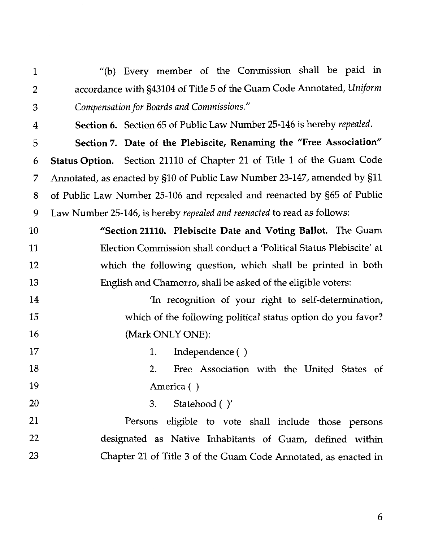"(b) Every member of the Commission shall be paid in  $\mathbf{1}$ accordance with \$43104 of Title 5 of the Guam Code Annotated, *Uniform*   $\overline{2}$ *Compensation for Boards and Commissions."*  3

**Section 6.** Section 65 of Public Law Number 25-146 is hereby *repealed.*  4 **Section** 7. **Date of the Plebiscite, Renaming the "Free Association"**  5 **Status Option.** Section 21110 of Chapter 21 of Title 1 of the Guam Code 6 Annotated, as enacted by \$10 of Public Law Number 23-147, amended by \$11 7 of Public Law Number 25-106 and repealed and reenacted by \$65 of Public 8 9 Law Number 25-146, is hereby *repealed and reenacted* to read as follows:

10 **"Section 21110. Plebiscite Date and Voting Ballot.** The Guam 11 Election Commission shall conduct a 'Political Status Plebiscite' at 12 which the following question, which shall be printed in both 13 English and Chamorro, shall be asked of the eligible voters:

14 'In recognition of your right to self-determination, 15 which of the following political status option do you favor? (Mark ONLY ONE): 16

17 1. Independence ( )

20

18 2. Free Association with the United States of 19 America ( )

**3.** Statehood ( )'

21 Persons eligible to vote shall include those persons 22 designated as Native Inhabitants of Guam, defined within 23 Chapter 21 of Title **3** of the Guam Code Annotated, as enacted in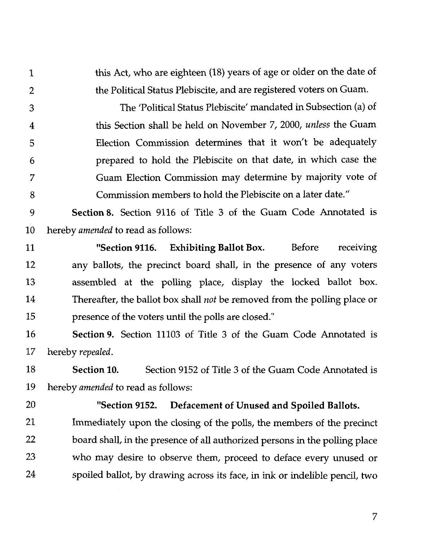this Act, who are eighteen (18) years of age or older on the date of  $\mathbf{1}$ the Political Status Plebiscite, and are registered voters on Guam.  $\overline{2}$ 

The 'Political Status Plebiscite' mandated in Subsection (a) of 3 this Section shall be held on November 7, 2000, *unless* the Guam  $\overline{4}$ Election Commission determines that it won't be adequately 5 prepared to hold the Plebiscite on that date, in which case the 6 7 Guam Election Commission may determine by majority vote of 8 Commission members to hold the Plebiscite on a later date."

Section 8. Section 9116 of Title **3** of the Guam Code Annotated is 9 10 hereby *amended* to read as follows:

"Section 9116. Exhibiting Ballot Box. Before receiving 11 12 any ballots, the precinct board shall, in the presence of any voters 13 assembled at the polling place, display the locked ballot box. 14 Thereafter, the ballot box shall *not* be removed from the polling place or 15 presence of the voters until the polls are closed."

16 Section **9.** Section 11103 of Title **3** of the Guam Code Annotated is 17 hereby *repealed.* 

18 Section **10.** Section 9152 of Title **3** of the Guam Code Annotated is 19 hereby *amended* to read as follows:

20

#### "Section **9152.** Defacement of Unused and Spoiled Ballots.

21 Immediately upon the closing of the polls, the members of the precinct 22 board shall, in the presence of all authorized persons in the polling place 23 who may desire to observe them, proceed to deface every unused or 24 spoiled ballot, by drawing across its face, in ink or indelible pencil, two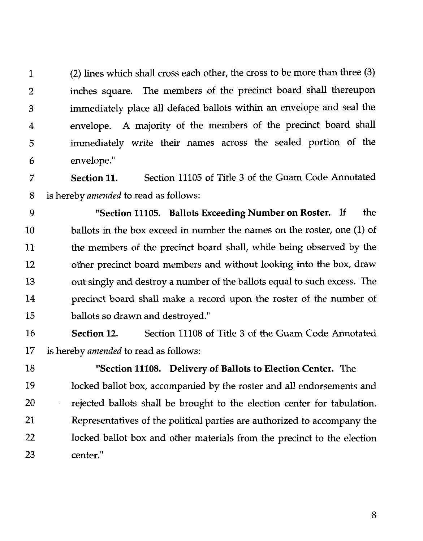1 (2) lines whch shall cross each other, the cross to be more than three (3) 2 inches square. The members of the precinct board shall thereupon 3 immediately place all defaced ballots within an envelope and seal the 4 envelope. A majority of the members of the precinct board shall 5 immediately write their names across the sealed portion of the 6 envelope."

7 **Section 11.** Section 11105 of Title 3 of the Guam Code Annotated 8 is hereby *amended* to read as follows:

9 **"Section 11105. Ballots Exceeding Number on Roster. If** the 10 ballots in the box exceed in number the names on the roster, one (1) of 11 the members of the precinct board shall, while being observed by the 12 other precinct board members and without looking into the box, draw 13 out singly and destroy a number of the ballots equal to such excess. The 14 precinct board shall make a record upon the roster of the number of 15 ballots so drawn and destroyed."

**16 Section 12.** Section 11108 of Title 3 of the Guam Code Annotated 17 is hereby *amended* to read as follows:

18 **"Section 11108. Delivery of Ballots to Election Center.** The 19 locked ballot box, accompanied by the roster and all endorsements and 20 rejected ballots shall be brought to the election center for tabulation. 21 Representatives of the political parties are authorized to accompany the 22 locked ballot box and other materials from the precinct to the election 23 center."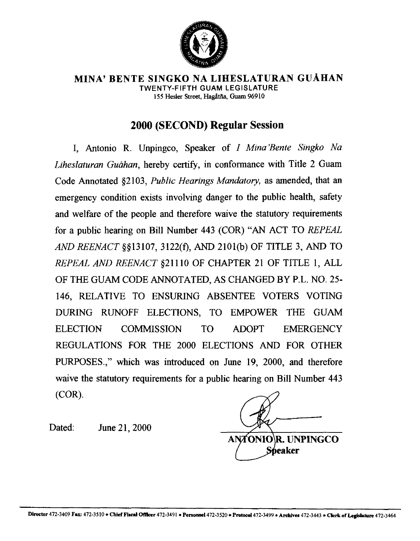

**MINA' BENTE SINGKO NA LIHESLATURAN GUAHAN TWENTY-FIFTH GUAM LEGISLATURE**  155 Hesler Street, Hagåtña, Guam 96910

### **2000 (SECOND) Regular Session**

I, Antonio R. Unpingco, Speaker of I *Mina'Bente Singko Na Liheslaturan Guahan,* hereby certify, in conformance with Title 2 Guam Code Annotated \$2103, *Public Hearings Mandatory,* as amended, that an emergency condition exists involving danger to the public health, safety and welfare of the people and therefore waive the statutory requirements for a public hearing on Bill Number 443 (COR) "AN ACT TO *REPEAL AND REENACT* §\$13107, 3122(f), *AND* 2101(b) OF TITLE 3, AND TO *REPEAL* AND *REENACT* #21110 OF CHAPTER 21 OF TITLE 1, ALL OF THE GUAM CODE ANNOTATED, AS CHANGED BY P.L. NO. 25- 146, RELATIVE TO ENSURING ABSENTEE VOTERS VOTING DURING RUNOFF ELECTIONS, TO EMPOWER THE GUAM ELECTION COMMISSION TO ADOPT EMERGENCY REGULATIONS FOR THE 2000 ELECTIONS AND FOR OTHER PURPOSES.," which was introduced on June 19, 2000, and therefore waive the statutory requirements for a public hearing on Bill Number 443 (COR).

Dated: June 21, 2000

**ANTONIO R. UNPINGCO eaker**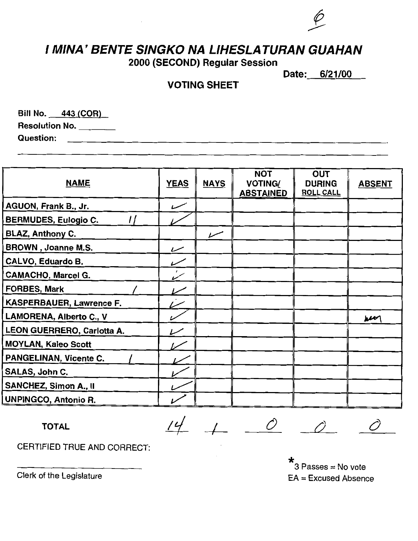# **I MINA' BENTE SINGKO NA LIHESLATURAN GUAHAN**

**2000 (SECOND) Regular Session** 

**Date: 6/21/00** 

#### **VOTING SHEET**

Bill No. 443 (COR) Resolution No. **Question:** 

| <b>NAME</b>                     | <b>YEAS</b>              | <b>NAYS</b> | <b>NOT</b><br><b>VOTING/</b><br><b>ABSTAINED</b> | <b>OUT</b><br><b>DURING</b><br><b>ROLL CALL</b> | <b>ABSENT</b>      |
|---------------------------------|--------------------------|-------------|--------------------------------------------------|-------------------------------------------------|--------------------|
| AGUON, Frank B., Jr.            | سسسر                     |             |                                                  |                                                 |                    |
| <b>BERMUDES, Eulogio C.</b>     |                          |             |                                                  |                                                 |                    |
| <b>BLAZ, Anthony C.</b>         |                          | سىر         |                                                  |                                                 |                    |
| <b>BROWN</b> , Joanne M.S.      | سما                      |             |                                                  |                                                 |                    |
| CALVO, Eduardo B.               | $\overline{\phantom{0}}$ |             |                                                  |                                                 |                    |
| <b>CAMACHO, Marcel G.</b>       |                          |             |                                                  |                                                 |                    |
| <b>FORBES, Mark</b>             |                          |             |                                                  |                                                 |                    |
| <b>KASPERBAUER, Lawrence F.</b> |                          |             |                                                  |                                                 |                    |
| LAMORENA, Alberto C., V         |                          |             |                                                  |                                                 | $\boldsymbol{\mu}$ |
| LEON GUERRERO, Carlotta A.      |                          |             |                                                  |                                                 |                    |
| <b>MOYLAN, Kaleo Scott</b>      |                          |             |                                                  |                                                 |                    |
| <b>PANGELINAN, Vicente C.</b>   |                          |             |                                                  |                                                 |                    |
| SALAS, John C.                  |                          |             |                                                  |                                                 |                    |
| <b>SANCHEZ, Simon A., II</b>    |                          |             |                                                  |                                                 |                    |
| <b>UNPINGCO, Antonio R.</b>     |                          |             |                                                  |                                                 |                    |

TOTAL  $14 + 0 0 0 0$ 

CERTIFIED TRUE AND CORRECT:

\* 3 Passes = No vote EA = Excused Absence

Clerk of the Legislature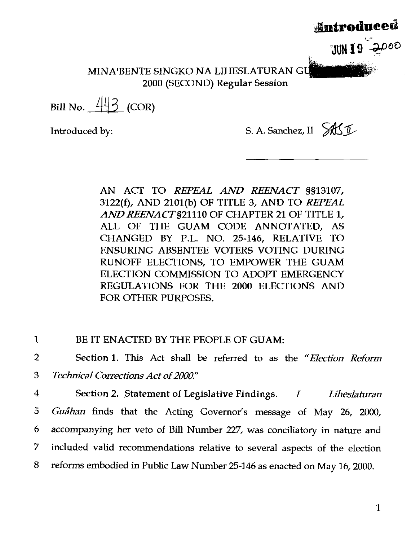MINA'BENTE SINGKO NA LIHESLATURAN GU 2000 (SECOND) Regular Session

Bill No.  $443$  (COR)

Introduced by: S. A. Sanchez, II  $\partial X \mathcal{I}$ 

<u>Antroduced</u>

JUNIO 2000

AN ACT TO *REPEAL AND REENACT* 9513107, 3122(f), AND 2101@) OF TITLE 3, AND TO *REPEAL*  AND REENACT §21110 OF CHAPTER 21 OF TITLE 1, ALL OF THE GUAM CODE ANNOTATED, AS CHANGED BY P.L. NO. 25-146, RELATIVE TO ENSURING ABSENTEE VOTERS VOTING DURING RUNOFF ELECTIONS, TO EMPOWER THE GUAM ELECTION COMMISSION TO ADOPT EMERGENCY REGULATIONS FOR THE 2000 ELECTIONS AND FOR OTHER PURPOSES.

1 **BE IT ENACTED BY THE PEOPLE OF GUAM:** 

2 Section 1. This Act shall be referred to as the *"Election Reform*  3 *Technical Corrections Act of 2000"* 

<sup>4</sup>Section 2. Statement of Legislative Findings. I *Lihesla turan*  5 *Guåhan* finds that the Acting Governor's message of May 26, 2000, 6 accompanying her veto of Bill Number 227, was conciliatory in nature and 7 included valid recommendations relative to several aspects of the election 8 reforms embodied in Public Law Number 25-146 as enacted on May 16,2000.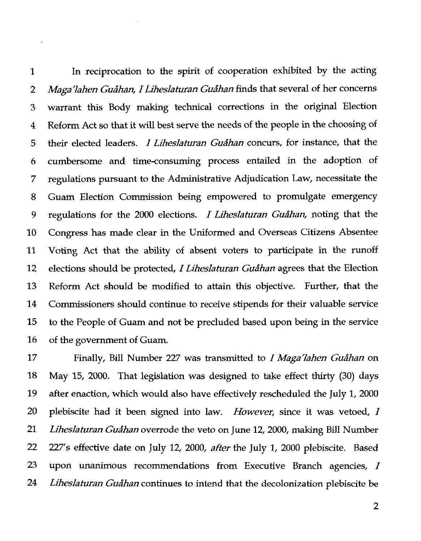In reciprocation to the spirit of cooperation exhibited by the acting  $\mathbf{1}$ *Maga'lahen Guåhan, I Liheslaturan Guåhan* finds that several of her concerns  $\overline{2}$ warrant this Body making technical corrections in the original Election 3 Reform Act so that it will best serve the needs of the people in the choosing of  $\overline{4}$ their elected leaders. I *Liheslaturan Gua'han* concurs, for instance, that the 5 cumbersome and time-consuming process entailed in the adoption of 6 7 regulations pursuant to the Administrative Adjudication Law, necessitate the Guam Election Commission being empowered to promulgate emergency 8 9 regulations for the 2000 elections. *I Liheslaturan Guåhan*, noting that the Congress has made clear in the Uniformed and Overseas Citizens Absentee 10 Voting Act that the ability of absent voters to participate in the runoff 11 12 elections should be protected, I *Liheslaturan Gushan* agrees that the Election Reform Act should be modified to attain this objective. Further, that the 13 14 Commissioners should continue to receive stipends for their valuable service 15 to the People of Guam and not be precluded based upon being in the service 16 of the government of Guam.

17 Finally, Bill Number 227 was transmitted to *I Maga'lahen Guathan* on 18 May 15, 2000. That legislation was designed to take effect thirty (30) days 19 after enaction, which would also have effectively rescheduled the July 1,2000 20 plebiscite had it been signed into law. *However,* since it was vetoed, I 21 *Liheslaturan Gushan* overrode the veto on June 12,2000, making Bill Number 22 227's effective date on July 12, 2000, *afier* the July *1,* 2000 plebiscite. Based 23 upon unanimous recommendations from Executive Branch agencies, I 24 *Liheslaturan Guåhan* continues to intend that the decolonization plebiscite be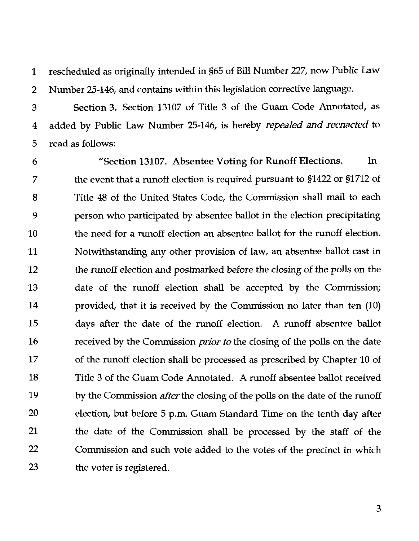rescheduled **as** originally intended in \$65 of Bill Number 227, now Public Law  $\mathbf{1}$ 2 Number 25-146, and contains within this legislation corrective language.

Section **3.** Section 13107 of Title *3* of the Guam Code Annotated, as 3 added by Public Law Number 25-146, is hereby *repealed and reenacted* to  $\overline{4}$ 5 read *as* follows:

"Section 13107. Absentee Voting for Runoff Elections. In 6 the event that a runoff election is required pursuant to \$1422 or \$1712 of 7 8 Title 48 of the United States Code, the Commission shall mail to each person who participated by absentee ballot in the election precipitating 9 10 the need for a runoff election an absentee ballot for the runoff election. Notwithstanding any other provision of law, an absentee ballot cast in 11 12 the runoff election and postmarked before the closing of the polls on the 13 date of the runoff election shall be accepted by the Commission; 14 provided, that it is received by the Commission no later than ten (10) 15 days after the date of the runoff election. A runoff absentee ballot 16 received by the Commission *prior to* the closing of the polls on the date 17 of the runoff election shall be processed as prescribed by Chapter 10 of 18 Title 3 of the Guam Code Annotated. A runoff absentee ballot received 19 by the Commission *after* the closing of the polls on the date of the runoff 20 election, but before *5* p.m. Guam Standard Time on the tenth day after 21 the date of the Commission shall be processed by the staff of the 22 Commission and such vote added to the votes of the precinct in which 23 the voter is registered.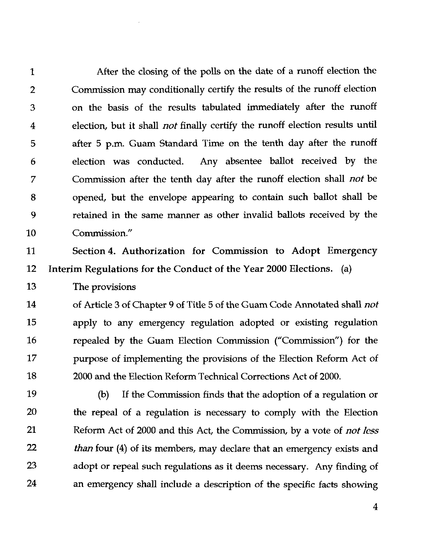After the closing of the polls on the date of a runoff election the  $\mathbf{1}$ Commission may conditionally certify the results of the runoff election  $\overline{2}$ on the basis of the results tabulated immediately after the runoff 3  $\overline{\mathbf{4}}$ election, but it shall *not* finally certify the runoff election results until after *5* p.m. Guam Standard Time on the tenth day after the runoff 5 election was conducted. Any absentee ballot received by the 6 Commission after the tenth day after the runoff election shall *not* be  $\overline{7}$ opened, but the envelope appearing to contain such ballot shall be 8 9 retained in the same manner as other invalid ballots received by the  $10$ Commission."

11 Section 4. Authorization for Commission to Adopt Emergency Interim Regulations for the Conduct of the Year 2000 Elections. (a)  $12$ 

13 The provisions

14 of Article **3** of Chapter 9 of Title *5* of the Guam Code Annotated shall *not*  15 apply to any emergency regulation adopted or existing regulation 16 repealed by the Guam Election Commission ("Commission") for the 17 purpose of implementing the provisions of the Election Reform Act of 18 2000 and the Election Reform Technical Corrections Act of 2000.

19 **(b)** If the Commission finds that the adoption of a regulation or 20 the repeal of a regulation is necessary to comply with the Election 21 Reform Act of 2000 and this Act, the Commission, by a vote of *not* less  $22$ *than* four (4) of its members, may declare that an emergency exists and 23 adopt or repeal such regulations as it deems necessary. Any finding of 24 an emergency shall include a description of the specific facts showing